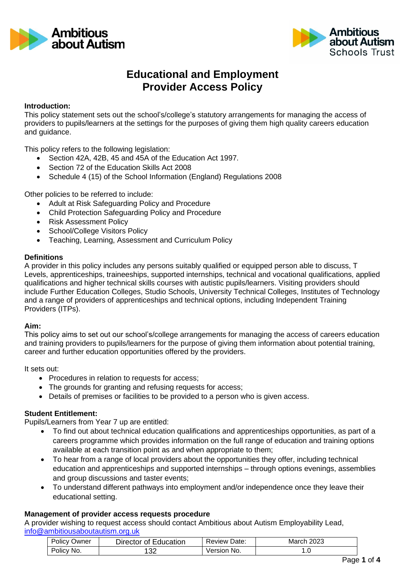



# **Educational and Employment Provider Access Policy**

#### **Introduction:**

This policy statement sets out the school's/college's statutory arrangements for managing the access of providers to pupils/learners at the settings for the purposes of giving them high quality careers education and guidance.

This policy refers to the following legislation:

- Section 42A, 42B, 45 and 45A of the Education Act 1997.
- Section 72 of the Education Skills Act 2008
- Schedule 4 (15) of the School Information (England) Regulations 2008

Other policies to be referred to include:

- Adult at Risk Safeguarding Policy and Procedure
- Child Protection Safeguarding Policy and Procedure
- Risk Assessment Policy
- School/College Visitors Policv
- Teaching, Learning, Assessment and Curriculum Policy

#### **Definitions**

A provider in this policy includes any persons suitably qualified or equipped person able to discuss, T Levels, apprenticeships, traineeships, supported internships, technical and vocational qualifications, applied qualifications and higher technical skills courses with autistic pupils/learners. Visiting providers should include Further Education Colleges, Studio Schools, University Technical Colleges, Institutes of Technology and a range of providers of apprenticeships and technical options, including Independent Training Providers (ITPs).

#### **Aim:**

This policy aims to set out our school's/college arrangements for managing the access of careers education and training providers to pupils/learners for the purpose of giving them information about potential training, career and further education opportunities offered by the providers.

It sets out:

- Procedures in relation to requests for access;
- The grounds for granting and refusing requests for access;
- Details of premises or facilities to be provided to a person who is given access.

#### **Student Entitlement:**

Pupils/Learners from Year 7 up are entitled:

- To find out about technical education qualifications and apprenticeships opportunities, as part of a careers programme which provides information on the full range of education and training options available at each transition point as and when appropriate to them;
- To hear from a range of local providers about the opportunities they offer, including technical education and apprenticeships and supported internships – through options evenings, assemblies and group discussions and taster events;
- To understand different pathways into employment and/or independence once they leave their educational setting.

#### **Management of provider access requests procedure**

A provider wishing to request access should contact Ambitious about Autism Employability Lead, [info@ambitiousaboutautism.org.uk](mailto:info@ambitiousaboutautism.org.uk)

| <b>Policy Owner</b> | Director of Education | Review Date: | <b>March 2023</b> |
|---------------------|-----------------------|--------------|-------------------|
| Policy No.          | 132                   | Version No.  | . . U             |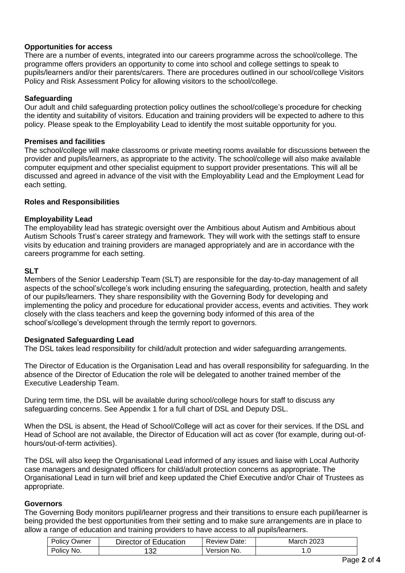## **Opportunities for access**

There are a number of events, integrated into our careers programme across the school/college. The programme offers providers an opportunity to come into school and college settings to speak to pupils/learners and/or their parents/carers. There are procedures outlined in our school/college Visitors Policy and Risk Assessment Policy for allowing visitors to the school/college.

#### **Safeguarding**

Our adult and child safeguarding protection policy outlines the school/college's procedure for checking the identity and suitability of visitors. Education and training providers will be expected to adhere to this policy. Please speak to the Employability Lead to identify the most suitable opportunity for you.

#### **Premises and facilities**

The school/college will make classrooms or private meeting rooms available for discussions between the provider and pupils/learners, as appropriate to the activity. The school/college will also make available computer equipment and other specialist equipment to support provider presentations. This will all be discussed and agreed in advance of the visit with the Employability Lead and the Employment Lead for each setting.

## **Roles and Responsibilities**

## **Employability Lead**

The employability lead has strategic oversight over the Ambitious about Autism and Ambitious about Autism Schools Trust's career strategy and framework. They will work with the settings staff to ensure visits by education and training providers are managed appropriately and are in accordance with the careers programme for each setting.

#### **SLT**

Members of the Senior Leadership Team (SLT) are responsible for the day-to-day management of all aspects of the school's/college's work including ensuring the safeguarding, protection, health and safety of our pupils/learners. They share responsibility with the Governing Body for developing and implementing the policy and procedure for educational provider access, events and activities. They work closely with the class teachers and keep the governing body informed of this area of the school's/college's development through the termly report to governors.

# **Designated Safeguarding Lead**

The DSL takes lead responsibility for child/adult protection and wider safeguarding arrangements.

The Director of Education is the Organisation Lead and has overall responsibility for safeguarding. In the absence of the Director of Education the role will be delegated to another trained member of the Executive Leadership Team.

During term time, the DSL will be available during school/college hours for staff to discuss any safeguarding concerns. See Appendix 1 for a full chart of DSL and Deputy DSL.

When the DSL is absent, the Head of School/College will act as cover for their services. If the DSL and Head of School are not available, the Director of Education will act as cover (for example, during out-ofhours/out-of-term activities).

The DSL will also keep the Organisational Lead informed of any issues and liaise with Local Authority case managers and designated officers for child/adult protection concerns as appropriate. The Organisational Lead in turn will brief and keep updated the Chief Executive and/or Chair of Trustees as appropriate.

#### **Governors**

The Governing Body monitors pupil/learner progress and their transitions to ensure each pupil/learner is being provided the best opportunities from their setting and to make sure arrangements are in place to allow a range of education and training providers to have access to all pupils/learners.

| <b>Policy Owner</b> | Director of Education | <b>Review Date:</b> | <b>March 2023</b> |
|---------------------|-----------------------|---------------------|-------------------|
| Policy No.          | 132                   | Version No.         |                   |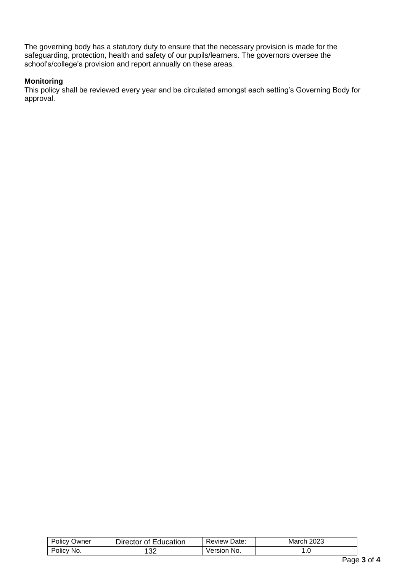The governing body has a statutory duty to ensure that the necessary provision is made for the safeguarding, protection, health and safety of our pupils/learners. The governors oversee the school's/college's provision and report annually on these areas.

## **Monitoring**

This policy shall be reviewed every year and be circulated amongst each setting's Governing Body for approval.

| $P_{\text{Olicy}}$<br>שwner | Education<br>⊃irector of | Date:<br>Review ? | 2023<br>warci. |  |
|-----------------------------|--------------------------|-------------------|----------------|--|
| Policy<br>'No.              | ne,<br>ັບ∠               | ` No.<br>√ersion  | ں. ا           |  |
|                             |                          |                   | -              |  |